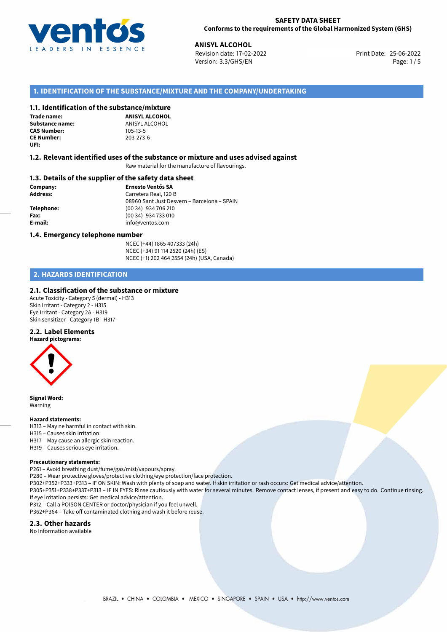

## **SAFETY DATA SHEET Conforms to the requirements of the Global Harmonized System (GHS)**

**ANISYL ALCOHOL**<br> **25-06-2022 Revision date: 17-02-2022 Print Date: 25-06-2022** Version: 3.3/GHS/EN Page: 1/5

# **1. IDENTIFICATION OF THE SUBSTANCE/MIXTURE AND THE COMPANY/UNDERTAKING**

# **1.1. Identification of the substance/mixture**

**Trade name: CAS Number: CE Number:** 203-273-6 **UFI:**

**ANISYL ALCOHOL Substance name:** ANISYL ALCOHOL<br> **CAS Number:** 105-13-5

### **1.2. Relevant identified uses of the substance or mixture and uses advised against**

Raw material for the manufacture of flavourings.

## **1.3. Details of the supplier of the safety data sheet**

**Company: Ernesto Ventós SA Address:** Carretera Real, 120 B 08960 Sant Just Desvern – Barcelona – SPAIN **Telephone:** (00 34) 934 706 210 **Fax:** (00 34) 934 733 010 **E-mail:** info@ventos.com

#### **1.4. Emergency telephone number**

NCEC (+44) 1865 407333 (24h) NCEC (+34) 91 114 2520 (24h) (ES) NCEC (+1) 202 464 2554 (24h) (USA, Canada)

# **2. HAZARDS IDENTIFICATION**

# **2.1. Classification of the substance or mixture**

Acute Toxicity - Category 5 (dermal) - H313 Skin Irritant - Category 2 - H315 Eye Irritant - Category 2A - H319 Skin sensitizer - Category 1B - H317

# **2.2. Label Elements**



**Signal Word:** Warning

#### **Hazard statements:**

- H313 May ne harmful in contact with skin.
- H315 Causes skin irritation.
- H317 May cause an allergic skin reaction.
- H319 Causes serious eye irritation.

#### **Precautionary statements:**

P261 – Avoid breathing dust/fume/gas/mist/vapours/spray.

- P280 Wear protective gloves/protective clothing/eye protection/face protection.
- P302+P352+P333+P313 IF ON SKIN: Wash with plenty of soap and water. If skin irritation or rash occurs: Get medical advice/attention.
- P305+P351+P338+P337+P313 IF IN EYES: Rinse cautiously with water for several minutes. Remove contact lenses, if present and easy to do. Continue rinsing. If eye irritation persists: Get medical advice/attention.
- P312 Call a POISON CENTER or doctor/physician if you feel unwell.

P362+P364 – Take off contaminated clothing and wash it before reuse.

### **2.3. Other hazards**

No Information available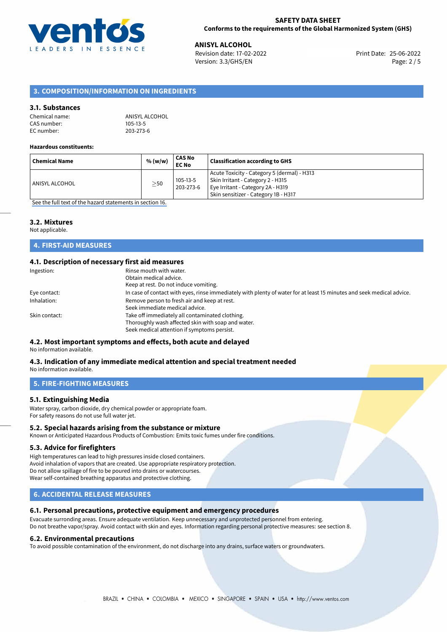

25-06-2022 **ANISYL ALCOHOL** Revision date: 17-02-2022 Print Date: Version: 3.3/GHS/EN Page: 2 / 5

# **3. COMPOSITION/INFORMATION ON INGREDIENTS**

# **3.1. Substances**

| Chemical name: | ANISYL ALCOHOL |
|----------------|----------------|
| CAS number:    | 105-13-5       |
| EC number:     | 203-273-6      |

#### **Hazardous constituents:**

| <b>Chemical Name</b> | % (w/w)   | CAS No<br><b>EC No</b> | <b>Classification according to GHS</b>                                                                                                                        |
|----------------------|-----------|------------------------|---------------------------------------------------------------------------------------------------------------------------------------------------------------|
| ANISYL ALCOHOL       | $\geq$ 50 | 105-13-5<br>203-273-6  | Acute Toxicity - Category 5 (dermal) - H313<br>Skin Irritant - Category 2 - H315<br>Eye Irritant - Category 2A - H319<br>Skin sensitizer - Category 1B - H317 |

[See the full text of the hazard statements in section 16.](#page-4-0)

# **3.2. Mixtures**

Not applicable.

# **4. FIRST-AID MEASURES**

# **4.1. Description of necessary first aid measures**

| Rinse mouth with water.                                                                                               |
|-----------------------------------------------------------------------------------------------------------------------|
| Obtain medical advice.                                                                                                |
| Keep at rest. Do not induce vomiting.                                                                                 |
| In case of contact with eyes, rinse immediately with plenty of water for at least 15 minutes and seek medical advice. |
| Remove person to fresh air and keep at rest.                                                                          |
| Seek immediate medical advice.                                                                                        |
| Take off immediately all contaminated clothing.                                                                       |
| Thoroughly wash affected skin with soap and water.                                                                    |
| Seek medical attention if symptoms persist.                                                                           |
|                                                                                                                       |

# **4.2. Most important symptoms and effects, both acute and delayed**

No information available.

#### **4.3. Indication of any immediate medical attention and special treatment needed** No information available.

**5. FIRE-FIGHTING MEASURES**

# **5.1. Extinguishing Media**

Water spray, carbon dioxide, dry chemical powder or appropriate foam. For safety reasons do not use full water jet.

# **5.2. Special hazards arising from the substance or mixture**

Known or Anticipated Hazardous Products of Combustion: Emits toxic fumes under fire conditions.

## **5.3. Advice for firefighters**

High temperatures can lead to high pressures inside closed containers. Avoid inhalation of vapors that are created. Use appropriate respiratory protection. Do not allow spillage of fire to be poured into drains or watercourses. Wear self-contained breathing apparatus and protective clothing.

# **6. ACCIDENTAL RELEASE MEASURES**

# **6.1. Personal precautions, protective equipment and emergency procedures**

Evacuate surronding areas. Ensure adequate ventilation. Keep unnecessary and unprotected personnel from entering. Do not breathe vapor/spray. Avoid contact with skin and eyes. Information regarding personal protective measures: see section 8.

#### **6.2. Environmental precautions**

To avoid possible contamination of the environment, do not discharge into any drains, surface waters or groundwaters.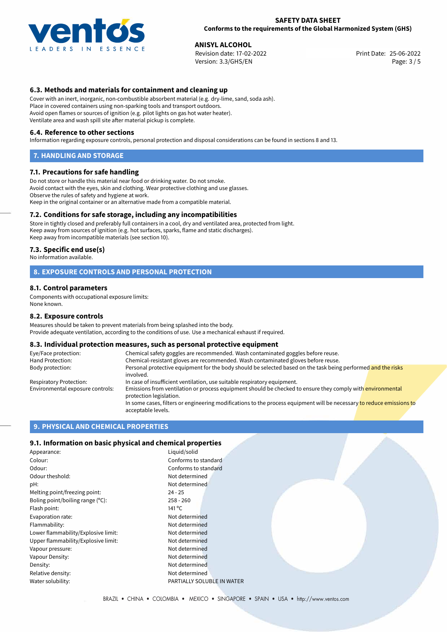

### **SAFETY DATA SHEET Conforms to the requirements of the Global Harmonized System (GHS)**

25-06-2022 **ANISYL ALCOHOL** Revision date: 17-02-2022 Print Date: Version: 3.3/GHS/EN Page: 3 / 5

# **6.3. Methods and materials for containment and cleaning up**

Cover with an inert, inorganic, non-combustible absorbent material (e.g. dry-lime, sand, soda ash). Place in covered containers using non-sparking tools and transport outdoors. Avoid open flames or sources of ignition (e.g. pilot lights on gas hot water heater). Ventilate area and wash spill site after material pickup is complete.

#### **6.4. Reference to other sections**

Information regarding exposure controls, personal protection and disposal considerations can be found in sections 8 and 13.

#### **7. HANDLING AND STORAGE**

### **7.1. Precautions for safe handling**

Do not store or handle this material near food or drinking water. Do not smoke. Avoid contact with the eyes, skin and clothing. Wear protective clothing and use glasses. Observe the rules of safety and hygiene at work. Keep in the original container or an alternative made from a compatible material.

# **7.2. Conditions for safe storage, including any incompatibilities**

Store in tightly closed and preferably full containers in a cool, dry and ventilated area, protected from light. Keep away from sources of ignition (e.g. hot surfaces, sparks, flame and static discharges). Keep away from incompatible materials (see section 10).

#### **7.3. Specific end use(s)**

No information available.

# **8. EXPOSURE CONTROLS AND PERSONAL PROTECTION**

### **8.1. Control parameters**

Components with occupational exposure limits: None known.

#### **8.2. Exposure controls**

Measures should be taken to prevent materials from being splashed into the body. Provide adequate ventilation, according to the conditions of use. Use a mechanical exhaust if required.

## **8.3. Individual protection measures, such as personal protective equipment**

| Eye/Face protection:             | Chemical safety goggles are recommended. Wash contaminated goggles before reuse.                                                            |  |  |
|----------------------------------|---------------------------------------------------------------------------------------------------------------------------------------------|--|--|
| Hand Protection:                 | Chemical-resistant gloves are recommended. Wash contaminated gloves before reuse.                                                           |  |  |
| Body protection:                 | Personal protective equipment for the body should be selected based on the task being performed and the risks<br>involved.                  |  |  |
| Respiratory Protection:          | In case of insufficient ventilation, use suitable respiratory equipment.                                                                    |  |  |
| Environmental exposure controls: | Emissions from ventilation or process equipment should be checked to ensure they comply with environmental<br>protection legislation.       |  |  |
|                                  | In some cases, filters or engineering modifications to the process equipment will be necessary to reduce emissions to<br>acceptable levels. |  |  |

# **9. PHYSICAL AND CHEMICAL PROPERTIES**

## **9.1. Information on basic physical and chemical properties**

| Liquid/solid<br>Appearance:         |                            |  |
|-------------------------------------|----------------------------|--|
| Colour:                             | Conforms to standard       |  |
| Odour:                              | Conforms to standard       |  |
| Odour theshold:                     | Not determined             |  |
| pH:                                 | Not determined             |  |
| Melting point/freezing point:       | 24 - 25                    |  |
| Boling point/boiling range (°C):    | 258 - 260                  |  |
| Flash point:                        | 141 °C                     |  |
| Evaporation rate:                   | Not determined             |  |
| Flammability:                       | Not determined             |  |
| Lower flammability/Explosive limit: | Not determined             |  |
| Upper flammability/Explosive limit: | Not determined             |  |
| Vapour pressure:                    | Not determined             |  |
| Vapour Density:                     | Not determined             |  |
| Density:                            | Not determined             |  |
| Relative density:                   | Not determined             |  |
| Water solubility:                   | PARTIALLY SOLUBLE IN WATER |  |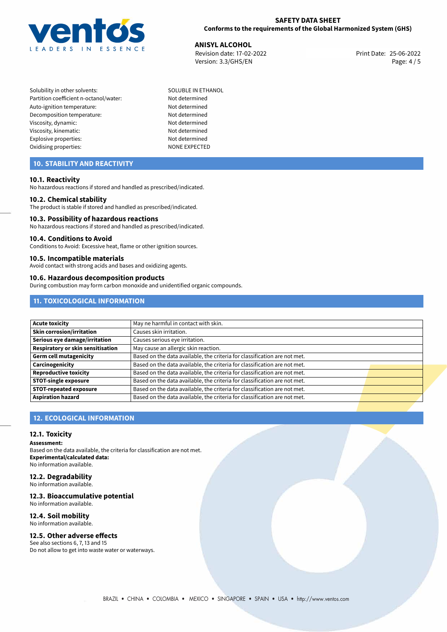

# **SAFETY DATA SHEET Conforms to the requirements of the Global Harmonized System (GHS)**

**ANISYL ALCOHOL**<br> **25-06-2022 Revision date: 17-02-2022 Alternative Structure Print Date: 25-06-2022** Revision date: 17-02-2022 Version: 3.3/GHS/EN Page: 4 / 5

- Solubility in other solvents: SOLUBLE IN ETHANOL Partition coefficient n-octanol/water: Not determined Auto-ignition temperature: Not determined Decomposition temperature: Not determined Viscosity, dynamic: Not determined Viscosity, kinematic: Not determined Explosive properties: Not determined Oxidising properties: NONE EXPECTED
	-

# **10. STABILITY AND REACTIVITY**

# **10.1. Reactivity**

No hazardous reactions if stored and handled as prescribed/indicated.

### **10.2. Chemical stability**

The product is stable if stored and handled as prescribed/indicated.

#### **10.3. Possibility of hazardous reactions**

No hazardous reactions if stored and handled as prescribed/indicated.

#### **10.4. Conditions to Avoid**

Conditions to Avoid: Excessive heat, flame or other ignition sources.

### **10.5. Incompatible materials**

Avoid contact with strong acids and bases and oxidizing agents.

#### **10.6. Hazardous decomposition products**

During combustion may form carbon monoxide and unidentified organic compounds.

# **11. TOXICOLOGICAL INFORMATION**

| Acute toxicity                    | May ne harmful in contact with skin.                                      |  |
|-----------------------------------|---------------------------------------------------------------------------|--|
| <b>Skin corrosion/irritation</b>  | Causes skin irritation.                                                   |  |
| Serious eye damage/irritation     | Causes serious eye irritation.                                            |  |
| Respiratory or skin sensitisation | May cause an allergic skin reaction.                                      |  |
| Germ cell mutagenicity            | Based on the data available, the criteria for classification are not met. |  |
| <b>Carcinogenicity</b>            | Based on the data available, the criteria for classification are not met. |  |
| Reproductive toxicity             | Based on the data available, the criteria for classification are not met. |  |
| <b>STOT-single exposure</b>       | Based on the data available, the criteria for classification are not met. |  |
| <b>STOT-repeated exposure</b>     | Based on the data available, the criteria for classification are not met. |  |
| <b>Aspiration hazard</b>          | Based on the data available, the criteria for classification are not met. |  |

# **12. ECOLOGICAL INFORMATION**

### **12.1. Toxicity**

**Assessment:**

Based on the data available, the criteria for classification are not met. **Experimental/calculated data:** No information available.

# **12.2. Degradability**

No information available.

# **12.3. Bioaccumulative potential**

No information available.

# **12.4. Soil mobility**

No information available.

# **12.5. Other adverse effects**

See also sections 6, 7, 13 and 15 Do not allow to get into waste water or waterways.